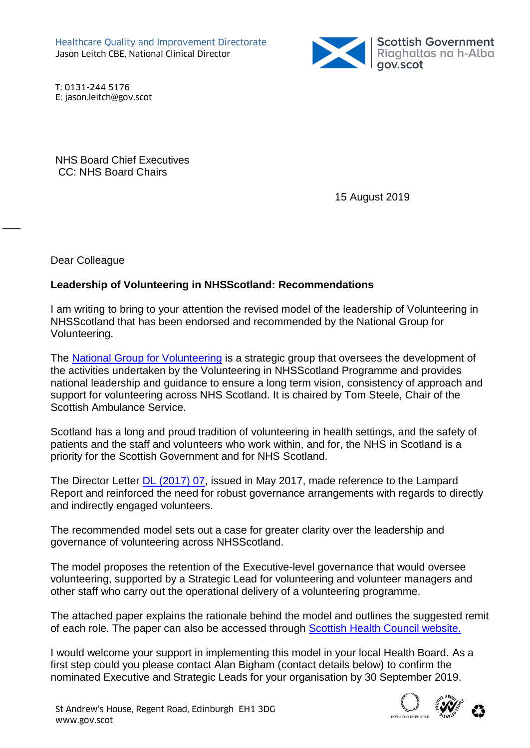

T: 0131-244 5176 E: jason.leitch@gov.scot

NHS Board Chief Executives CC: NHS Board Chairs

15 August 2019

Dear Colleague

 $\overline{\phantom{a}}$ 

## **Leadership of Volunteering in NHSScotland: Recommendations**

I am writing to bring to your attention the revised model of the leadership of Volunteering in NHSScotland that has been endorsed and recommended by the National Group for Volunteering.

The [National Group for Volunteering](http://www.scottishhealthcouncil.org/patient__public_participation/volunteering_in_nhsscotland/national_group_meetings.aspx#.W2Gd1LpFzcs) is a strategic group that oversees the development of the activities undertaken by the Volunteering in NHSScotland Programme and provides national leadership and guidance to ensure a long term vision, consistency of approach and support for volunteering across NHS Scotland. It is chaired by Tom Steele, Chair of the Scottish Ambulance Service.

Scotland has a long and proud tradition of volunteering in health settings, and the safety of patients and the staff and volunteers who work within, and for, the NHS in Scotland is a priority for the Scottish Government and for NHS Scotland.

The Director Letter [DL \(2017\) 07,](https://www.sehd.scot.nhs.uk/dl/DL(2017)07.pdf) issued in May 2017, made reference to the Lampard Report and reinforced the need for robust governance arrangements with regards to directly and indirectly engaged volunteers.

The recommended model sets out a case for greater clarity over the leadership and governance of volunteering across NHSScotland.

The model proposes the retention of the Executive-level governance that would oversee volunteering, supported by a Strategic Lead for volunteering and volunteer managers and other staff who carry out the operational delivery of a volunteering programme.

The attached paper explains the rationale behind the model and outlines the suggested remit of each role. The paper can also be accessed through [Scottish Health Council website.](http://scottishhealthcouncil.org/patient__public_participation/volunteering_in_nhsscotland/idoc.ashx?docid=ba5a6e8c-8fbb-4b3b-924d-1b425da634c1&version=-1)

I would welcome your support in implementing this model in your local Health Board. As a first step could you please contact Alan Bigham (contact details below) to confirm the nominated Executive and Strategic Leads for your organisation by 30 September 2019.